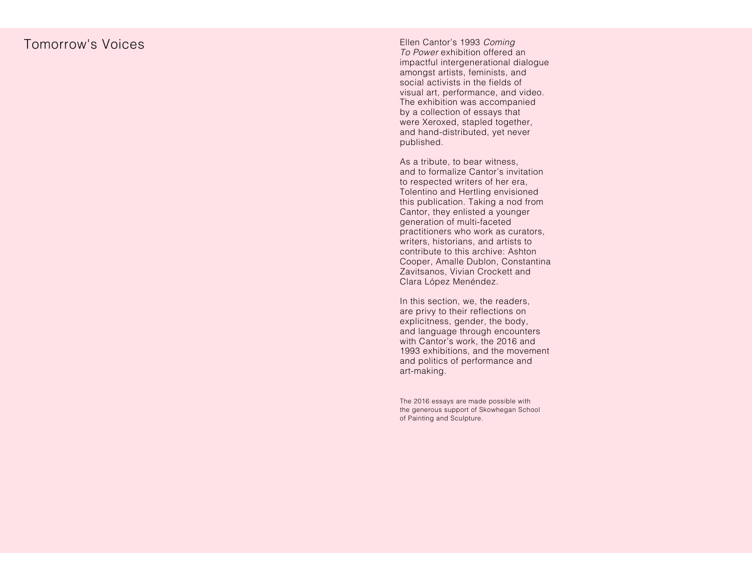## Tomorrow's Voices

Ellen Cantor's 1993 Coming To Power exhibition offered an impactful intergenerational dialogue amongst artists, feminists, and social activists in the fields of visual art, performance, and video. The exhibition was accompanied by a collection of essays that were Xeroxed, stapled together, and hand-distributed, yet never published.

As a tribute, to bear witness, and to formalize Cantor's invitation to respected writers of her era, Tolentino and Hertling envisioned this publication. Taking a nod from Cantor, they enlisted a younger generation of multi-faceted practitioners who work as curators, writers, historians, and artists to contribute to this archive: Ashton Cooper, Amalle Dublon, Constantina Zavitsanos, Vivian Crockett and Clara López Menéndez.

In this section, we, the readers, are privy to their reflections on explicitness, gender, the body, and language through encounters with Cantor's work, the 2016 and 1993 exhibitions, and the movement and politics of performance and art-making.

The 2016 essays are made possible with the generous support of Skowhegan School of Painting and Sculpture.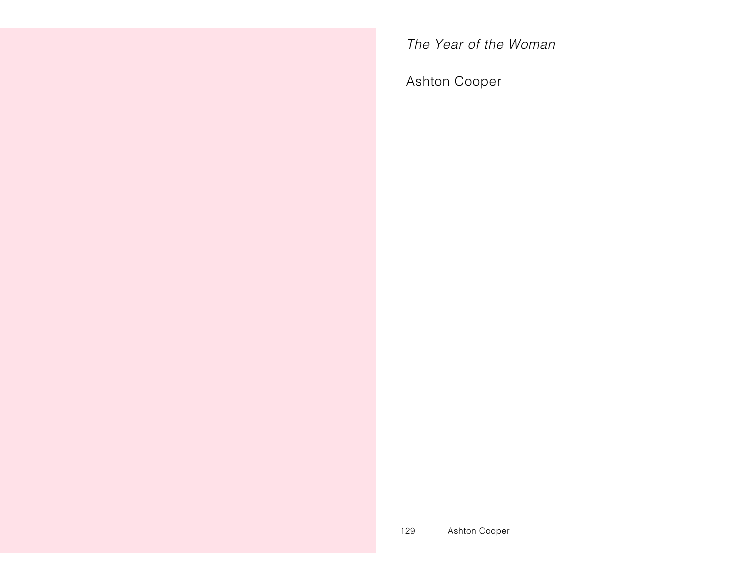The Year of the Woman

Ashton Cooper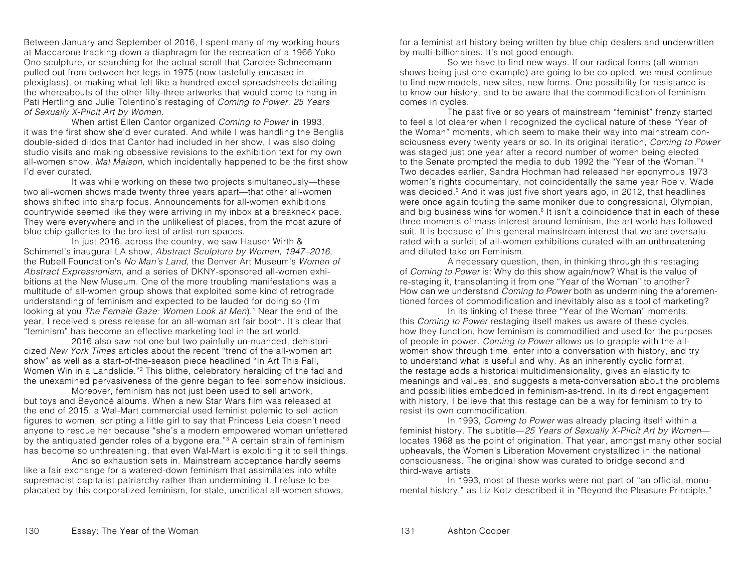Between January and September of 2016, I spent many of my working hours at Maccarone tracking down a diaphragm for the recreation of a 1966 Yoko Ono sculpture, or searching for the actual scroll that Carolee Schneemann pulled out from between her legs in 1975 (now tastefully encased in plexiglass), or making what felt like a hundred excel spreadsheets detailing the whereabouts of the other fifty-three artworks that would come to hang in Pati Hertling and Julie Tolentino's restaging of Coming to Power: 25 Years of Sexually X-Plicit Art by Women.

When artist Ellen Cantor organized Coming to Power in 1993, it was the first show she'd ever curated. And while I was handling the Benglis double-sided dildos that Cantor had included in her show, I was also doing studio visits and making obsessive revisions to the exhibition text for my own all-women show, Mal Maison, which incidentally happened to be the first show I'd ever curated.

It was while working on these two projects simultaneously—these two all-women shows made twenty three years apart—that other all-women shows shifted into sharp focus. Announcements for all-women exhibitions countrywide seemed like they were arriving in my inbox at a breakneck pace. They were everywhere and in the unlikeliest of places, from the most azure of blue chip galleries to the bro-iest of artist-run spaces.

In just 2016, across the country, we saw Hauser Wirth & Schimmel's inaugural LA show, Abstract Sculpture by Women, 1947–2016, the Rubell Foundation's No Man's Land, the Denver Art Museum's Women of Abstract Expressionism, and a series of DKNY-sponsored all-women exhibitions at the New Museum. One of the more troubling manifestations was a multitude of all-women group shows that exploited some kind of retrograde understanding of feminism and expected to be lauded for doing so (I'm looking at you The Female Gaze: Women Look at Men).<sup>1</sup> Near the end of the year, I received a press release for an all-woman art fair booth. It's clear that "feminism" has become an effective marketing tool in the art world.

2016 also saw not one but two painfully un-nuanced, dehistoricized New York Times articles about the recent "trend of the all-women art show" as well as a start-of-the-season piece headlined "In Art This Fall, Women Win in a Landslide."2 This blithe, celebratory heralding of the fad and the unexamined pervasiveness of the genre began to feel somehow insidious.

Moreover, feminism has not just been used to sell artwork, but toys and Beyoncé albums. When a new Star Wars film was released at the end of 2015, a Wal-Mart commercial used feminist polemic to sell action figures to women, scripting a little girl to say that Princess Leia doesn't need anyone to rescue her because "she's a modern empowered woman unfettered by the antiquated gender roles of a bygone era."3 A certain strain of feminism has become so unthreatening, that even Wal-Mart is exploiting it to sell things.

And so exhaustion sets in. Mainstream acceptance hardly seems like a fair exchange for a watered-down feminism that assimilates into white supremacist capitalist patriarchy rather than undermining it. I refuse to be placated by this corporatized feminism, for stale, uncritical all-women shows,

for a feminist art history being written by blue chip dealers and underwritten by multi-billionaires. It's not good enough.

So we have to find new ways. If our radical forms (all-woman shows being just one example) are going to be co-opted, we must continue to find new models, new sites, new forms. One possibility for resistance is to know our history, and to be aware that the commodification of feminism comes in cycles.

The past five or so years of mainstream "feminist" frenzy started to feel a lot clearer when I recognized the cyclical nature of these "Year of the Woman" moments, which seem to make their way into mainstream consciousness every twenty years or so. In its original iteration, *Coming to Power* was staged just one year after a record number of women being elected to the Senate prompted the media to dub 1992 the "Year of the Woman."4 Two decades earlier, Sandra Hochman had released her eponymous 1973 women's rights documentary, not coincidentally the same year Roe v. Wade was decided.<sup>5</sup> And it was just five short years ago, in 2012, that headlines were once again touting the same moniker due to congressional, Olympian, and big business wins for women.<sup>6</sup> It isn't a coincidence that in each of these three moments of mass interest around feminism, the art world has followed suit. It is because of this general mainstream interest that we are oversaturated with a surfeit of all-women exhibitions curated with an unthreatening and diluted take on Feminism.

A necessary question, then, in thinking through this restaging of Coming to Power is: Why do this show again/now? What is the value of re-staging it, transplanting it from one "Year of the Woman" to another? How can we understand Coming to Power both as undermining the aforementioned forces of commodification and inevitably also as a tool of marketing?

In its linking of these three "Year of the Woman" moments, this Coming to Power restaging itself makes us aware of these cycles, how they function, how feminism is commodified and used for the purposes of people in power. Coming to Power allows us to grapple with the allwomen show through time, enter into a conversation with history, and try to understand what is useful and why. As an inherently cyclic format, the restage adds a historical multidimensionality, gives an elasticity to meanings and values, and suggests a meta-conversation about the problems and possibilities embedded in feminism-as-trend. In its direct engagement with history, I believe that this restage can be a way for feminism to try to resist its own commodification.

In 1993, *Coming to Power* was already placing itself within a feminist history. The subtitle—25 Years of Sexually X-Plicit Art by Women locates 1968 as the point of origination. That year, amongst many other social upheavals, the Women's Liberation Movement crystallized in the national consciousness. The original show was curated to bridge second and third-wave artists.

In 1993, most of these works were not part of "an official, monumental history," as Liz Kotz described it in "Beyond the Pleasure Principle,"